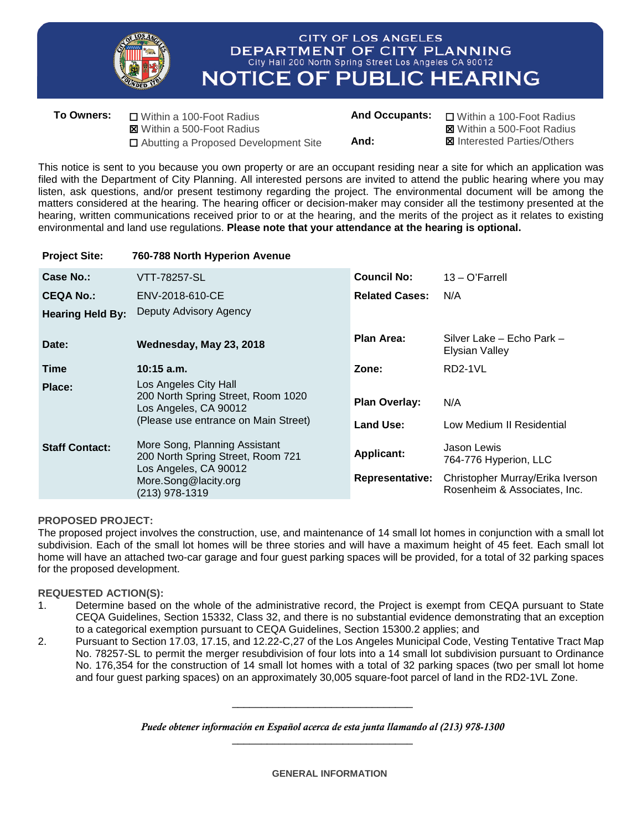

**Project Site: 760-788 North Hyperion Avenue**

## **CITY OF LOS ANGELES** DEPARTMENT OF CITY PLANNING City Hall 200 North Spring Street Los Angeles CA 90012 **NOTICE OF PUBLIC HEARING**

| <b>To Owners:</b> | □ Within a 100-Foot Radius             | <b>And Occupants:</b> | □ Within a 100-Foot Radius         |
|-------------------|----------------------------------------|-----------------------|------------------------------------|
|                   | <b>図</b> Within a 500-Foot Radius      |                       | <b>⊠</b> Within a 500-Foot Radius  |
|                   | □ Abutting a Proposed Development Site | And:                  | <b>図</b> Interested Parties/Others |

This notice is sent to you because you own property or are an occupant residing near a site for which an application was filed with the Department of City Planning. All interested persons are invited to attend the public hearing where you may listen, ask questions, and/or present testimony regarding the project. The environmental document will be among the matters considered at the hearing. The hearing officer or decision-maker may consider all the testimony presented at the hearing, written communications received prior to or at the hearing, and the merits of the project as it relates to existing environmental and land use regulations. **Please note that your attendance at the hearing is optional.**

| <b>FIURUL OILE.</b>     | 700-700 NOTED HYPERION AVENUE                                                                                                         |                        |                                                                  |
|-------------------------|---------------------------------------------------------------------------------------------------------------------------------------|------------------------|------------------------------------------------------------------|
| Case No.:               | VTT-78257-SL                                                                                                                          | <b>Council No:</b>     | $13 - O'Farrell$                                                 |
| <b>CEQA No.:</b>        | ENV-2018-610-CE                                                                                                                       | <b>Related Cases:</b>  | N/A                                                              |
| <b>Hearing Held By:</b> | Deputy Advisory Agency                                                                                                                |                        |                                                                  |
| Date:                   | Wednesday, May 23, 2018                                                                                                               | Plan Area:             | Silver Lake - Echo Park -<br>Elysian Valley                      |
| Time                    | $10:15$ a.m.                                                                                                                          | Zone:                  | RD2-1VL                                                          |
| Place:                  | Los Angeles City Hall<br>200 North Spring Street, Room 1020<br>Los Angeles, CA 90012                                                  | <b>Plan Overlay:</b>   | N/A                                                              |
|                         | (Please use entrance on Main Street)                                                                                                  | Land Use:              | Low Medium II Residential                                        |
| <b>Staff Contact:</b>   | More Song, Planning Assistant<br>200 North Spring Street, Room 721<br>Los Angeles, CA 90012<br>More.Song@lacity.org<br>(213) 978-1319 | <b>Applicant:</b>      | Jason Lewis<br>764-776 Hyperion, LLC                             |
|                         |                                                                                                                                       | <b>Representative:</b> | Christopher Murray/Erika Iverson<br>Rosenheim & Associates, Inc. |

## **PROPOSED PROJECT:**

The proposed project involves the construction, use, and maintenance of 14 small lot homes in conjunction with a small lot subdivision. Each of the small lot homes will be three stories and will have a maximum height of 45 feet. Each small lot home will have an attached two-car garage and four guest parking spaces will be provided, for a total of 32 parking spaces for the proposed development.

## **REQUESTED ACTION(S):**

- 1. Determine based on the whole of the administrative record, the Project is exempt from CEQA pursuant to State CEQA Guidelines, Section 15332, Class 32, and there is no substantial evidence demonstrating that an exception to a categorical exemption pursuant to CEQA Guidelines, Section 15300.2 applies; and
- 2. Pursuant to Section 17.03, 17.15, and 12.22-C,27 of the Los Angeles Municipal Code, Vesting Tentative Tract Map No. 78257-SL to permit the merger resubdivision of four lots into a 14 small lot subdivision pursuant to Ordinance No. 176,354 for the construction of 14 small lot homes with a total of 32 parking spaces (two per small lot home and four guest parking spaces) on an approximately 30,005 square-foot parcel of land in the RD2-1VL Zone.

*Puede obtener información en Español acerca de esta junta llamando al (213) 978-1300* \_\_\_\_\_\_\_\_\_\_\_\_\_\_\_\_\_\_\_\_\_\_\_\_\_\_\_\_\_\_\_

\_\_\_\_\_\_\_\_\_\_\_\_\_\_\_\_\_\_\_\_\_\_\_\_\_\_\_\_\_\_\_

**GENERAL INFORMATION**